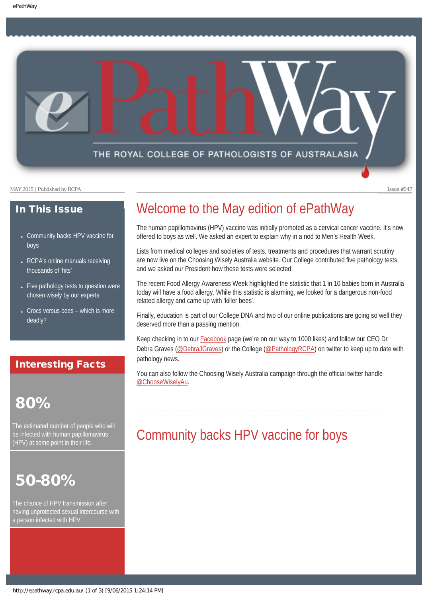THE ROYAL COLLEGE OF PATHOLOGISTS OF AUSTRALASIA

MAY 2015 | Published by RCPA Issue #047

### In This Issue

- [Community backs HPV vaccine for](#page-0-0) [boys](#page-0-0)
- RCPA'[s online manuals receiving](#page-1-0) [thousands of](#page-1-0) 'hits'
- [Five pathology tests to question were](#page-1-1) [chosen wisely by our experts](#page-1-1)
- $\cdot$  [Crocs versus bees](#page-2-0)  which is more [deadly?](#page-2-0)

## Interesting Facts

# 80%

<span id="page-0-0"></span>The estimated number of people who will be infected with human papillomavirus (HPV) at some point in their life.

## 50-80%

The chance of HPV transmission after having unprotected sexual intercourse with a person infected with HPV.

# Welcome to the May edition of ePathWay

The human papillomavirus (HPV) vaccine was initially promoted as a cervical cancer vaccine. It's now offered to boys as well. We asked an expert to explain why in a nod to Men's Health Week.

Lists from medical colleges and societies of tests, treatments and procedures that warrant scrutiny are now live on the Choosing Wisely Australia website. Our College contributed five pathology tests, and we asked our President how these tests were selected.

The recent Food Allergy Awareness Week highlighted the statistic that 1 in 10 babies born in Australia today will have a food allergy. While this statistic is alarming, we looked for a dangerous non-food related allergy and came up with 'killer bees'.

Finally, education is part of our College DNA and two of our online publications are going so well they deserved more than a passing mention.

Keep checking in to our [Facebook](https://www.facebook.com/TheRoyalCollegeOfPathologistsOfAustralasia) page (we're on our way to 1000 likes) and follow our CEO Dr Debra Graves ([@DebraJGraves](https://twitter.com/DebraJGraves)) or the College ([@PathologyRCPA](https://twitter.com/PathologyRCPA)) on twitter to keep up to date with pathology news.

You can also follow the Choosing Wisely Australia campaign through the official twitter handle [@ChooseWiselyAu.](https://twitter.com/ChooseWiselyAu)

## Community backs HPV vaccine for boys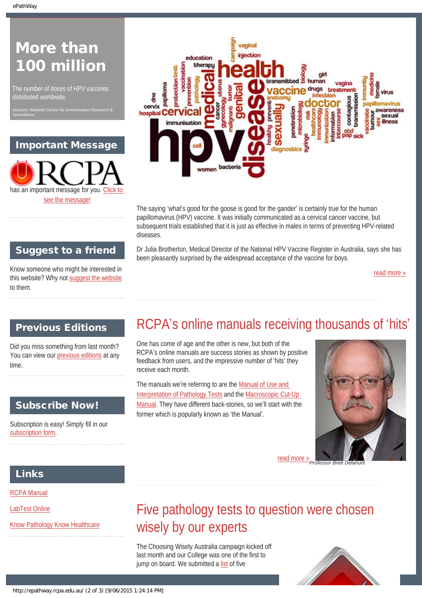*Surveillance*

# More than 100 million

The number of doses of HPV vaccines distributed worldwide.

*Sources: National Centre for Immunisation Research &* 

### Important Message





The saying 'what's good for the goose is good for the gander' is certainly true for the human papillomavirus (HPV) vaccine. It was initially communicated as a cervical cancer vaccine, but subsequent trials established that it is just as effective in males in terms of preventing HPV-related diseases.

Dr Julia Brotherton, Medical Director of the National HPV Vaccine Register in Australia, says she has been pleasantly surprised by the widespread acceptance of the vaccine for boys.

[read more »](#page-5-0)

## Suggest to a friend

Know someone who might be interested in this website? Why not [suggest the website](mailto:?Subject=I%20think%20you%20should%20read%20this%20Newsletter=
http://epathway.rcpa.edu.au/index.html) to them.

## <span id="page-1-0"></span>Previous Editions

Did you miss something from last month? You can view our [previous editions](#page-3-0) at any time.

### Subscribe Now!

Subscription is easy! Simply fill in our [subscription form.](http://epathway.rcpa.edu.au/subscription.html)

# RCPA's online manuals receiving thousands of 'hits'

One has come of age and the other is new, but both of the RCPA's online manuals are success stories as shown by positive feedback from users, and the impressive number of 'hits' they receive each month.

The manuals we're referring to are the [Manual of Use and](https://www.rcpa.edu.au/Library/Practising-Pathology/RCPA-Manual/Home)  [Interpretation of Pathology Tests](https://www.rcpa.edu.au/Library/Practising-Pathology/RCPA-Manual/Home) and the [Macroscopic Cut-Up](https://www.rcpa.edu.au/Library/Practising-Pathology/Macroscopic-Cut-Up/Home.aspx)  [Manual](https://www.rcpa.edu.au/Library/Practising-Pathology/Macroscopic-Cut-Up/Home.aspx). They have different back-stories, so we'll start with the former which is popularly known as 'the Manual'.



[read more »](#page-7-0)

### Links

[RCPA Manual](http://rcpamanual.edu.au/)

<span id="page-1-1"></span>[LabTest Online](http://www.labtestsonline.org.au/)

[Know Pathology Know Healthcare](http://knowpathology.com.au/)

# Five pathology tests to question were chosen wisely by our experts

The Choosing Wisely Australia campaign kicked off last month and our College was one of the first to jump on board. We submitted a [list](http://www.choosingwisely.org.au/recommendations/rcpa) of five

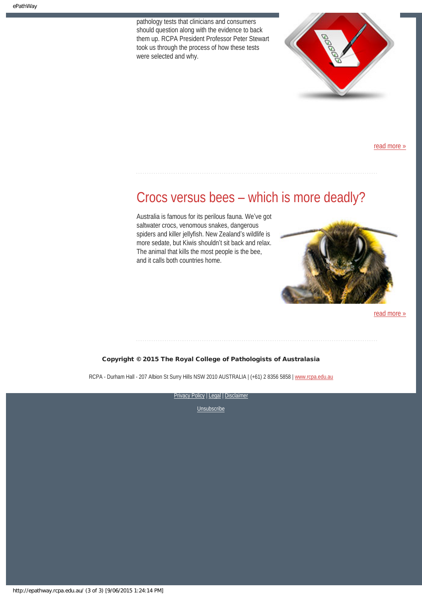pathology tests that clinicians and consumers should question along with the evidence to back them up. RCPA President Professor Peter Stewart took us through the process of how these tests were selected and why.



[read more »](#page-9-0)

## <span id="page-2-0"></span>Crocs versus bees – which is more deadly?

Australia is famous for its perilous fauna. We've got saltwater crocs, venomous snakes, dangerous spiders and killer jellyfish. New Zealand's wildlife is more sedate, but Kiwis shouldn't sit back and relax. The animal that kills the most people is the bee, and it calls both countries home.



[read more »](#page-11-0)

#### Copyright © 2015 The Royal College of Pathologists of Australasia

RCPA - Durham Hall - 207 Albion St Surry Hills NSW 2010 AUSTRALIA | (+61) 2 8356 5858 | [www.rcpa.edu.au](http://www.rcpa.edu.au/)

[Privacy Policy](http://www.rcpa.edu.au/Content-Library/Privacy.aspx) | [Legal](http://www.rcpa.edu.au/Legal.aspx) | Disclaimer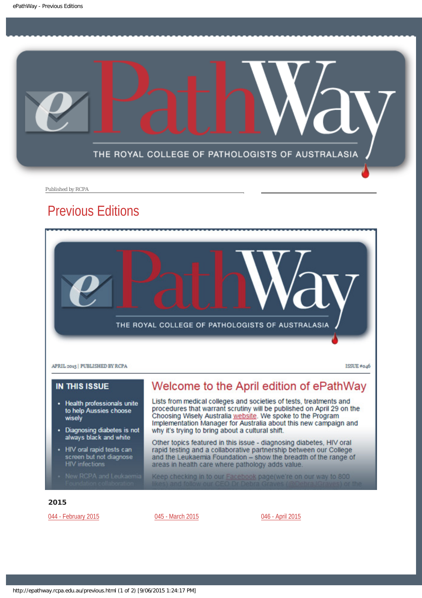<span id="page-3-0"></span>

Published by RCPA

## Previous Editions



### **IN THIS ISSUE**

- Health professionals unite to help Aussies choose wisely
- Diagnosing diabetes is not always black and white
- HIV oral rapid tests can screen but not diagnose **HIV** infections
- 

## Welcome to the April edition of ePathWay

Lists from medical colleges and societies of tests, treatments and procedures that warrant scrutiny will be published on April 29 on the Choosing Wisely Australia website. We spoke to the Program Implementation Manager for Australia about this new campaign and why it's trying to bring about a cultural shift.

Other topics featured in this issue - diagnosing diabetes, HIV oral rapid testing and a collaborative partnership between our College and the Leukaemia Foundation - show the breadth of the range of areas in health care where pathology adds value.

Keep checking in to our Facebook page(we're on our way to 800

#### 2015

[044 - February 2015](http://epathway.rcpa.edu.au/previous/044_0215.pdf) **[045 - March 2015](http://epathway.rcpa.edu.au/previous/045_0315.pdf) [046 - April 2015](http://epathway.rcpa.edu.au/previous/046_0415.pdf)**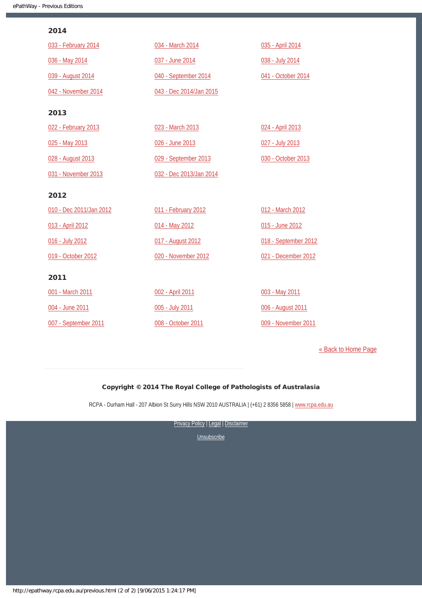### 2014

| 033 - February 2014     | 034 - March 2014        | 035 - April 2014     |
|-------------------------|-------------------------|----------------------|
| 036 - May 2014          | 037 - June 2014         | 038 - July 2014      |
| 039 - August 2014       | 040 - September 2014    | 041 - October 2014   |
| 042 - November 2014     | 043 - Dec 2014/Jan 2015 |                      |
| 2013                    |                         |                      |
| 022 - February 2013     | 023 - March 2013        | 024 - April 2013     |
| 025 - May 2013          | 026 - June 2013         | 027 - July 2013      |
| 028 - August 2013       | 029 - September 2013    | 030 - October 2013   |
| 031 - November 2013     | 032 - Dec 2013/Jan 2014 |                      |
| 2012                    |                         |                      |
| 010 - Dec 2011/Jan 2012 | 011 - February 2012     | 012 - March 2012     |
| 013 - April 2012        | 014 - May 2012          | 015 - June 2012      |
| 016 - July 2012         | 017 - August 2012       | 018 - September 2012 |
| 019 - October 2012      | 020 - November 2012     | 021 - December 2012  |
| 2011                    |                         |                      |
| 001 - March 2011        | 002 - April 2011        | 003 - May 2011       |
| 004 - June 2011         | 005 - July 2011         | 006 - August 2011    |
| 007 - September 2011    | 008 - October 2011      | 009 - November 2011  |

[« Back to Home Page](http://epathway.rcpa.edu.au/index.html)

### Copyright © 2014 The Royal College of Pathologists of Australasia

RCPA - Durham Hall - 207 Albion St Surry Hills NSW 2010 AUSTRALIA | (+61) 2 8356 5858 | [www.rcpa.edu.au](http://www.rcpa.edu.au/)

[Privacy Policy](http://www.rcpa.edu.au/Content-Library/Privacy.aspx) | [Legal](http://www.rcpa.edu.au/Legal.aspx) | Disclaimer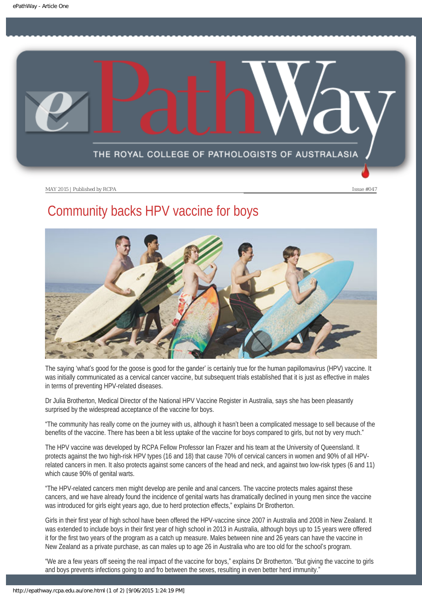<span id="page-5-0"></span>

# Community backs HPV vaccine for boys



The saying 'what's good for the goose is good for the gander' is certainly true for the human papillomavirus (HPV) vaccine. It was initially communicated as a cervical cancer vaccine, but subsequent trials established that it is just as effective in males in terms of preventing HPV-related diseases.

Dr Julia Brotherton, Medical Director of the National HPV Vaccine Register in Australia, says she has been pleasantly surprised by the widespread acceptance of the vaccine for boys.

"The community has really come on the journey with us, although it hasn't been a complicated message to sell because of the benefits of the vaccine. There has been a bit less uptake of the vaccine for boys compared to girls, but not by very much."

The HPV vaccine was developed by RCPA Fellow Professor Ian Frazer and his team at the University of Queensland. It protects against the two high-risk HPV types (16 and 18) that cause 70% of cervical cancers in women and 90% of all HPVrelated cancers in men. It also protects against some cancers of the head and neck, and against two low-risk types (6 and 11) which cause 90% of genital warts.

"The HPV-related cancers men might develop are penile and anal cancers. The vaccine protects males against these cancers, and we have already found the incidence of genital warts has dramatically declined in young men since the vaccine was introduced for girls eight years ago, due to herd protection effects," explains Dr Brotherton.

Girls in their first year of high school have been offered the HPV-vaccine since 2007 in Australia and 2008 in New Zealand. It was extended to include boys in their first year of high school in 2013 in Australia, although boys up to 15 years were offered it for the first two years of the program as a catch up measure. Males between nine and 26 years can have the vaccine in New Zealand as a private purchase, as can males up to age 26 in Australia who are too old for the school's program.

"We are a few years off seeing the real impact of the vaccine for boys," explains Dr Brotherton. "But giving the vaccine to girls and boys prevents infections going to and fro between the sexes, resulting in even better herd immunity."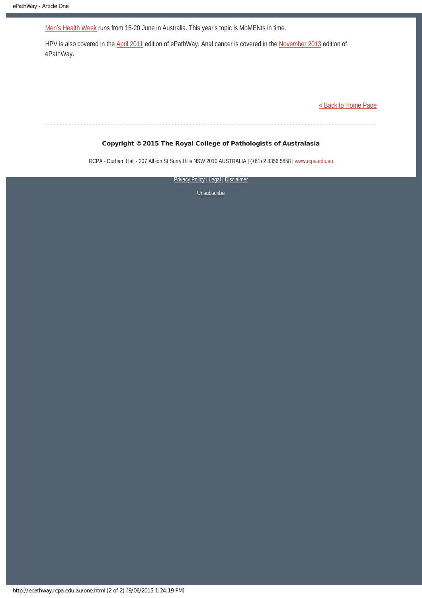Men'[s Health Week](http://www.menshealthweek.org.au/En/Default.aspx) runs from 15-20 June in Australia. This year's topic is MoMENts in time.

HPV is also covered in the [April 2011](https://www.rcpa.edu.au/Library/Publications/ePathway/ePathway-Past-Issues/2011/ePathway-Issue-002) edition of ePathWay. Anal cancer is covered in the [November 2013](https://www.rcpa.edu.au/Library/Publications/ePathway/ePathway-Past-Issues/2013/ePathway-Issue-031) edition of ePathWay.

[« Back to Home Page](http://epathway.rcpa.edu.au/index.html)

#### Copyright © 2015 The Royal College of Pathologists of Australasia

RCPA - Durham Hall - 207 Albion St Surry Hills NSW 2010 AUSTRALIA | (+61) 2 8356 5858 | [www.rcpa.edu.au](http://www.rcpa.edu.au/)

[Privacy Policy](http://www.rcpa.edu.au/Content-Library/Privacy.aspx) | [Legal](http://www.rcpa.edu.au/Legal.aspx) | Disclaimer

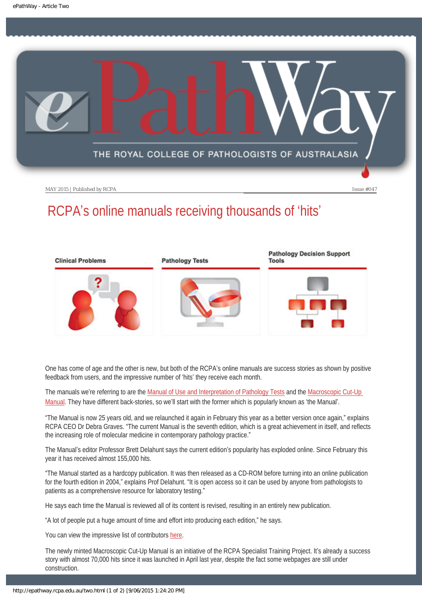<span id="page-7-0"></span>

# RCPA's online manuals receiving thousands of 'hits'



One has come of age and the other is new, but both of the RCPA's online manuals are success stories as shown by positive feedback from users, and the impressive number of 'hits' they receive each month.

The manuals we're referring to are the [Manual of Use and Interpretation of Pathology Tests](https://www.rcpa.edu.au/Library/Practising-Pathology/RCPA-Manual/Home) and the Macroscopic Cut-Up [Manual](https://www.rcpa.edu.au/Library/Practising-Pathology/Macroscopic-Cut-Up/Home.aspx). They have different back-stories, so we'll start with the former which is popularly known as 'the Manual'.

"The Manual is now 25 years old, and we relaunched it again in February this year as a better version once again," explains RCPA CEO Dr Debra Graves. "The current Manual is the seventh edition, which is a great achievement in itself, and reflects the increasing role of molecular medicine in contemporary pathology practice."

The Manual's editor Professor Brett Delahunt says the current edition's popularity has exploded online. Since February this year it has received almost 155,000 hits.

"The Manual started as a hardcopy publication. It was then released as a CD-ROM before turning into an online publication for the fourth edition in 2004," explains Prof Delahunt. "It is open access so it can be used by anyone from pathologists to patients as a comprehensive resource for laboratory testing."

He says each time the Manual is reviewed all of its content is revised, resulting in an entirely new publication.

"A lot of people put a huge amount of time and effort into producing each edition," he says.

You can view the impressive list of contributors [here.](https://www.rcpa.edu.au/Library/Practising-Pathology/RCPA-Manual/Home#item1)

The newly minted Macroscopic Cut-Up Manual is an initiative of the RCPA Specialist Training Project. It's already a success story with almost 70,000 hits since it was launched in April last year, despite the fact some webpages are still under construction.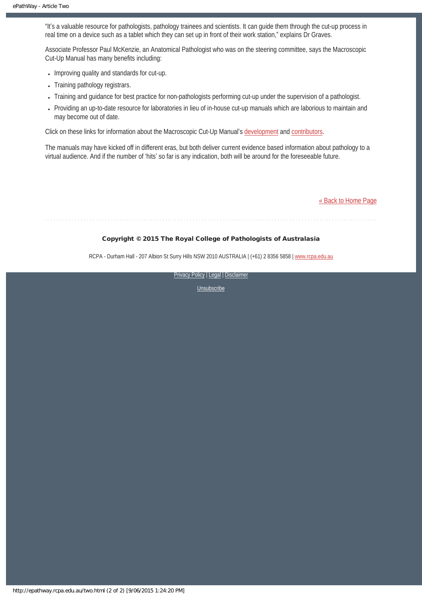"It's a valuable resource for pathologists, pathology trainees and scientists. It can guide them through the cut-up process in real time on a device such as a tablet which they can set up in front of their work station," explains Dr Graves.

Associate Professor Paul McKenzie, an Anatomical Pathologist who was on the steering committee, says the Macroscopic Cut-Up Manual has many benefits including:

- Improving quality and standards for cut-up.
- Training pathology registrars.
- Training and guidance for best practice for non-pathologists performing cut-up under the supervision of a pathologist.
- Providing an up-to-date resource for laboratories in lieu of in-house cut-up manuals which are laborious to maintain and may become out of date.

Click on these links for information about the Macroscopic Cut-Up Manual's [development](https://www.rcpa.edu.au/Library/Practising-Pathology/Macroscopic-Cut-Up/Home/Project-Development) and [contributors.](https://www.rcpa.edu.au/Library/Practising-Pathology/Macroscopic-Cut-Up/Home/Contributors)

The manuals may have kicked off in different eras, but both deliver current evidence based information about pathology to a virtual audience. And if the number of 'hits' so far is any indication, both will be around for the foreseeable future.

[« Back to Home Page](http://epathway.rcpa.edu.au/index.html)

#### Copyright © 2015 The Royal College of Pathologists of Australasia

RCPA - Durham Hall - 207 Albion St Surry Hills NSW 2010 AUSTRALIA | (+61) 2 8356 5858 | [www.rcpa.edu.au](http://www.rcpa.edu.au/)

[Privacy Policy](http://www.rcpa.edu.au/Content-Library/Privacy.aspx) | [Legal](http://www.rcpa.edu.au/Legal.aspx) | Disclaimer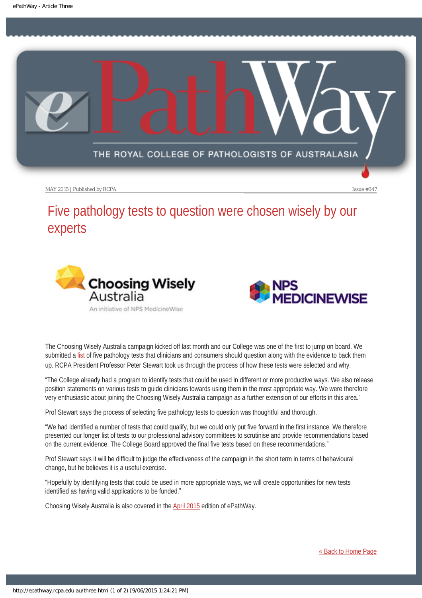<span id="page-9-0"></span>

# Five pathology tests to question were chosen wisely by our experts





The Choosing Wisely Australia campaign kicked off last month and our College was one of the first to jump on board. We submitted a [list](http://www.choosingwisely.org.au/recommendations/rcpa) of five pathology tests that clinicians and consumers should question along with the evidence to back them up. RCPA President Professor Peter Stewart took us through the process of how these tests were selected and why.

"The College already had a program to identify tests that could be used in different or more productive ways. We also release position statements on various tests to guide clinicians towards using them in the most appropriate way. We were therefore very enthusiastic about joining the Choosing Wisely Australia campaign as a further extension of our efforts in this area."

Prof Stewart says the process of selecting five pathology tests to question was thoughtful and thorough.

"We had identified a number of tests that could qualify, but we could only put five forward in the first instance. We therefore presented our longer list of tests to our professional advisory committees to scrutinise and provide recommendations based on the current evidence. The College Board approved the final five tests based on these recommendations."

Prof Stewart says it will be difficult to judge the effectiveness of the campaign in the short term in terms of behavioural change, but he believes it is a useful exercise.

"Hopefully by identifying tests that could be used in more appropriate ways, we will create opportunities for new tests identified as having valid applications to be funded."

Choosing Wisely Australia is also covered in the [April 2015](https://www.rcpa.edu.au/Library/Publications/ePathway/ePathway-Past-Issues/2015/ePathway-Issue-46) edition of ePathWay.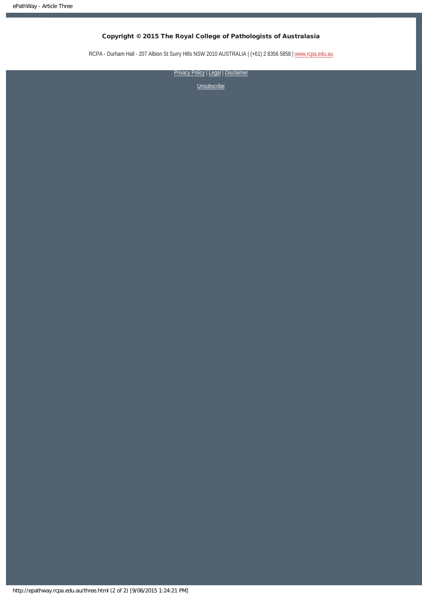### Copyright © 2015 The Royal College of Pathologists of Australasia

RCPA - Durham Hall - 207 Albion St Surry Hills NSW 2010 AUSTRALIA | (+61) 2 8356 5858 | [www.rcpa.edu.au](http://www.rcpa.edu.au/)

[Privacy Policy](http://www.rcpa.edu.au/Content-Library/Privacy.aspx) | [Legal](http://www.rcpa.edu.au/Legal.aspx) | Disclaimer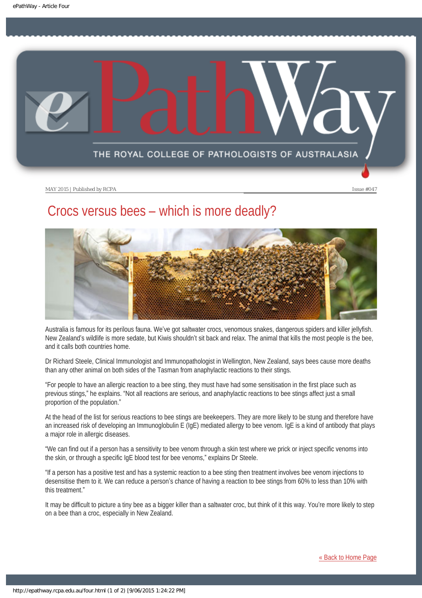<span id="page-11-0"></span>

## Crocs versus bees – which is more deadly?



Australia is famous for its perilous fauna. We've got saltwater crocs, venomous snakes, dangerous spiders and killer jellyfish. New Zealand's wildlife is more sedate, but Kiwis shouldn't sit back and relax. The animal that kills the most people is the bee, and it calls both countries home.

Dr Richard Steele, Clinical Immunologist and Immunopathologist in Wellington, New Zealand, says bees cause more deaths than any other animal on both sides of the Tasman from anaphylactic reactions to their stings.

"For people to have an allergic reaction to a bee sting, they must have had some sensitisation in the first place such as previous stings," he explains. "Not all reactions are serious, and anaphylactic reactions to bee stings affect just a small proportion of the population."

At the head of the list for serious reactions to bee stings are beekeepers. They are more likely to be stung and therefore have an increased risk of developing an Immunoglobulin E (IgE) mediated allergy to bee venom. IgE is a kind of antibody that plays a major role in allergic diseases.

"We can find out if a person has a sensitivity to bee venom through a skin test where we prick or inject specific venoms into the skin, or through a specific IgE blood test for bee venoms," explains Dr Steele.

"If a person has a positive test and has a systemic reaction to a bee sting then treatment involves bee venom injections to desensitise them to it. We can reduce a person's chance of having a reaction to bee stings from 60% to less than 10% with this treatment."

It may be difficult to picture a tiny bee as a bigger killer than a saltwater croc, but think of it this way. You're more likely to step on a bee than a croc, especially in New Zealand.